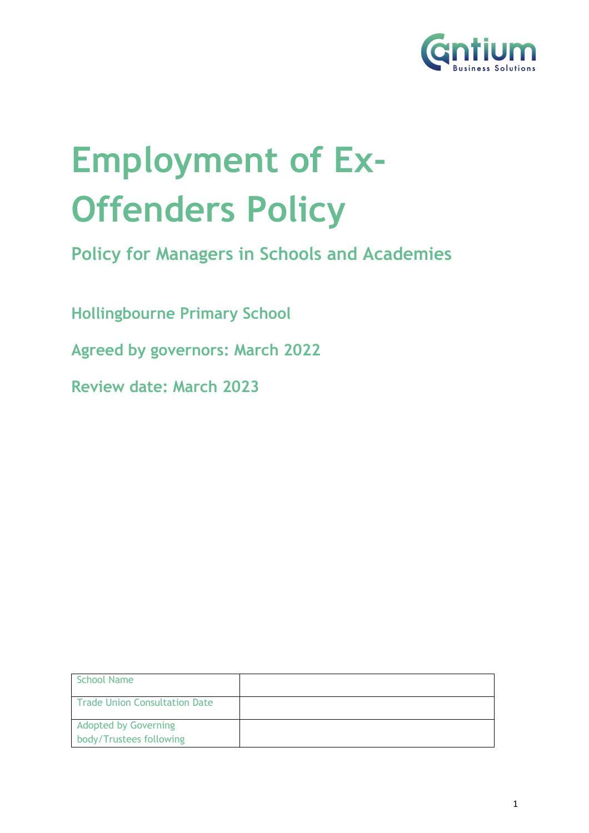

# **Employment of Ex-Offenders Policy**

**Policy for Managers in Schools and Academies**

**Hollingbourne Primary School**

**Agreed by governors: March 2022**

**Review date: March 2023**

| School Name                                            |  |
|--------------------------------------------------------|--|
| Trade Union Consultation Date                          |  |
| <b>Adopted by Governing</b><br>body/Trustees following |  |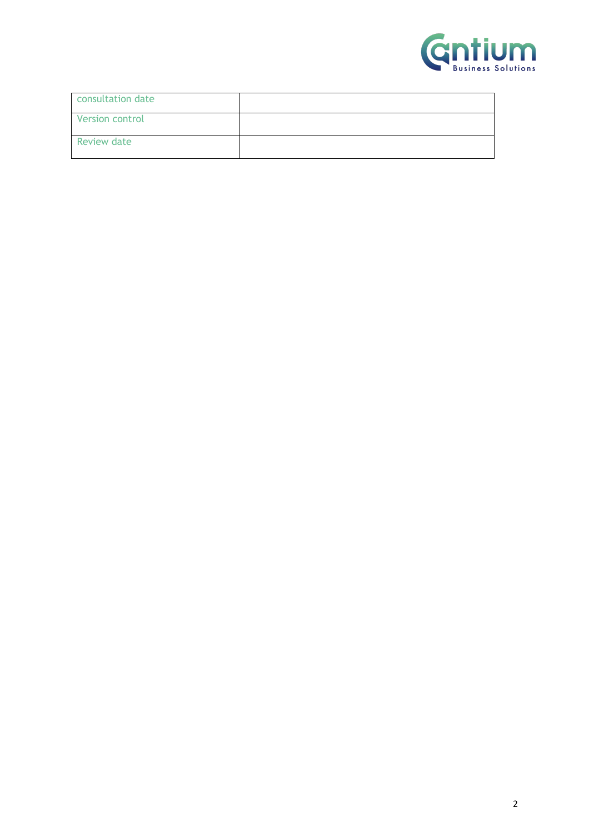

| consultation date  |  |
|--------------------|--|
| Version control    |  |
| <b>Review date</b> |  |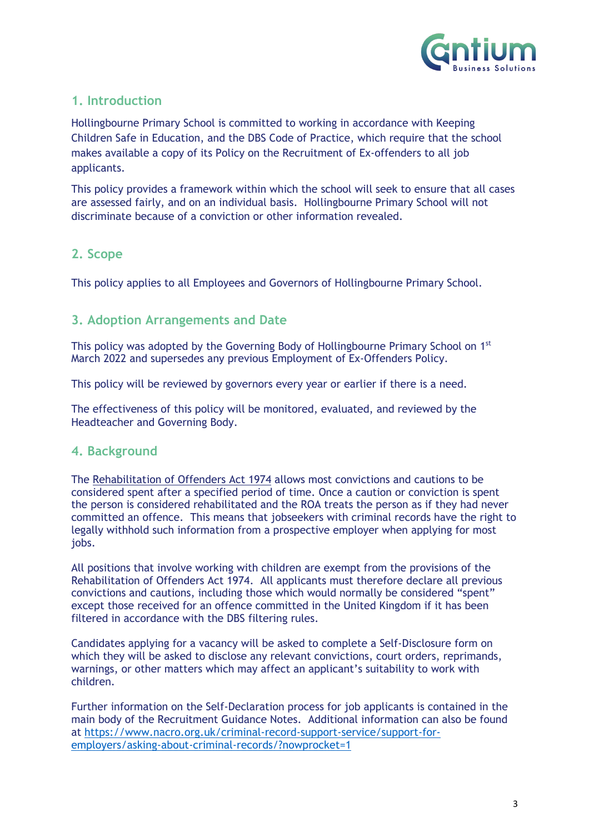

### **1. Introduction**

Hollingbourne Primary School is committed to working in accordance with Keeping Children Safe in Education, and the DBS Code of Practice, which require that the school makes available a copy of its Policy on the Recruitment of Ex-offenders to all job applicants.

This policy provides a framework within which the school will seek to ensure that all cases are assessed fairly, and on an individual basis. Hollingbourne Primary School will not discriminate because of a conviction or other information revealed.

#### **2. Scope**

This policy applies to all Employees and Governors of Hollingbourne Primary School.

#### **3. Adoption Arrangements and Date**

This policy was adopted by the Governing Body of Hollingbourne Primary School on  $1<sup>st</sup>$ March 2022 and supersedes any previous Employment of Ex-Offenders Policy.

This policy will be reviewed by governors every year or earlier if there is a need.

The effectiveness of this policy will be monitored, evaluated, and reviewed by the Headteacher and Governing Body.

#### **4. Background**

The Rehabilitation of Offenders Act 1974 allows most convictions and cautions to be considered spent after a specified period of time. Once a caution or conviction is spent the person is considered rehabilitated and the ROA treats the person as if they had never committed an offence. This means that jobseekers with criminal records have the right to legally withhold such information from a prospective employer when applying for most jobs.

All positions that involve working with children are exempt from the provisions of the Rehabilitation of Offenders Act 1974. All applicants must therefore declare all previous convictions and cautions, including those which would normally be considered "spent" except those received for an offence committed in the United Kingdom if it has been filtered in accordance with the DBS filtering rules.

Candidates applying for a vacancy will be asked to complete a Self-Disclosure form on which they will be asked to disclose any relevant convictions, court orders, reprimands, warnings, or other matters which may affect an applicant's suitability to work with children.

Further information on the Self-Declaration process for job applicants is contained in the main body of the Recruitment Guidance Notes. Additional information can also be found at https://www.nacro.org.uk/criminal-record-support-service/support-foremployers/asking-about-criminal-records/?nowprocket=1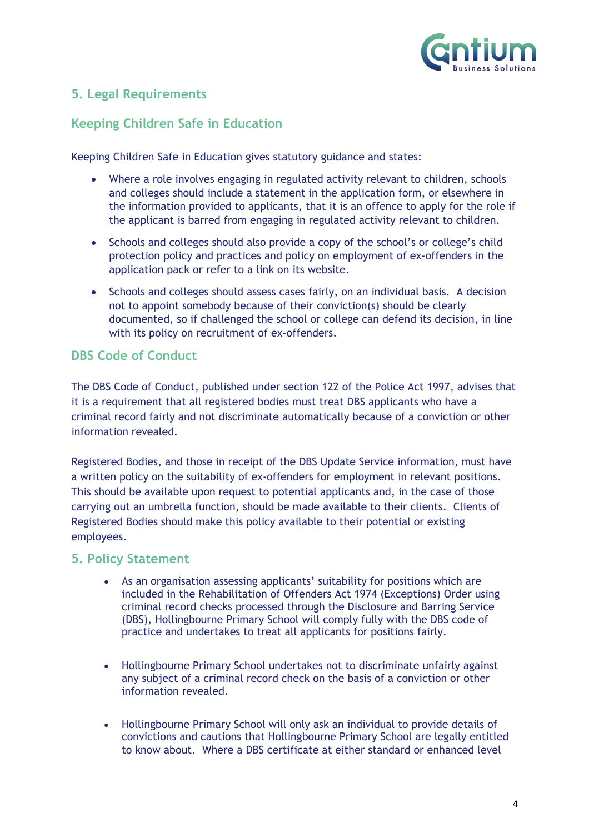

## **5. Legal Requirements**

## **Keeping Children Safe in Education**

Keeping Children Safe in Education gives statutory guidance and states:

- Where a role involves engaging in regulated activity relevant to children, schools and colleges should include a statement in the application form, or elsewhere in the information provided to applicants, that it is an offence to apply for the role if the applicant is barred from engaging in regulated activity relevant to children.
- Schools and colleges should also provide a copy of the school's or college's child protection policy and practices and policy on employment of ex-offenders in the application pack or refer to a link on its website.
- Schools and colleges should assess cases fairly, on an individual basis. A decision not to appoint somebody because of their conviction(s) should be clearly documented, so if challenged the school or college can defend its decision, in line with its policy on recruitment of ex-offenders.

## **DBS Code of Conduct**

The DBS Code of Conduct, published under section 122 of the Police Act 1997, advises that it is a requirement that all registered bodies must treat DBS applicants who have a criminal record fairly and not discriminate automatically because of a conviction or other information revealed.

Registered Bodies, and those in receipt of the DBS Update Service information, must have a written policy on the suitability of ex-offenders for employment in relevant positions. This should be available upon request to potential applicants and, in the case of those carrying out an umbrella function, should be made available to their clients. Clients of Registered Bodies should make this policy available to their potential or existing employees.

#### **5. Policy Statement**

- As an organisation assessing applicants' suitability for positions which are included in the Rehabilitation of Offenders Act 1974 (Exceptions) Order using criminal record checks processed through the Disclosure and Barring Service (DBS), Hollingbourne Primary School will comply fully with the DBS code of practice and undertakes to treat all applicants for positions fairly.
- Hollingbourne Primary School undertakes not to discriminate unfairly against any subject of a criminal record check on the basis of a conviction or other information revealed.
- Hollingbourne Primary School will only ask an individual to provide details of convictions and cautions that Hollingbourne Primary School are legally entitled to know about. Where a DBS certificate at either standard or enhanced level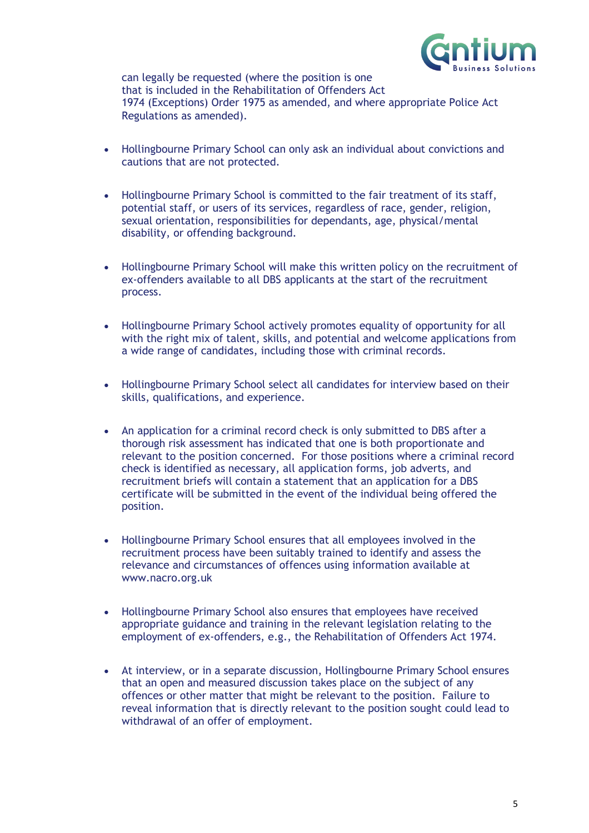

can legally be requested (where the position is one that is included in the Rehabilitation of Offenders Act 1974 (Exceptions) Order 1975 as amended, and where appropriate Police Act Regulations as amended).

- Hollingbourne Primary School can only ask an individual about convictions and cautions that are not protected.
- Hollingbourne Primary School is committed to the fair treatment of its staff, potential staff, or users of its services, regardless of race, gender, religion, sexual orientation, responsibilities for dependants, age, physical/mental disability, or offending background.
- Hollingbourne Primary School will make this written policy on the recruitment of ex-offenders available to all DBS applicants at the start of the recruitment process.
- Hollingbourne Primary School actively promotes equality of opportunity for all with the right mix of talent, skills, and potential and welcome applications from a wide range of candidates, including those with criminal records.
- Hollingbourne Primary School select all candidates for interview based on their skills, qualifications, and experience.
- An application for a criminal record check is only submitted to DBS after a thorough risk assessment has indicated that one is both proportionate and relevant to the position concerned. For those positions where a criminal record check is identified as necessary, all application forms, job adverts, and recruitment briefs will contain a statement that an application for a DBS certificate will be submitted in the event of the individual being offered the position.
- Hollingbourne Primary School ensures that all employees involved in the recruitment process have been suitably trained to identify and assess the relevance and circumstances of offences using information available at www.nacro.org.uk
- Hollingbourne Primary School also ensures that employees have received appropriate guidance and training in the relevant legislation relating to the employment of ex-offenders, e.g., the Rehabilitation of Offenders Act 1974.
- At interview, or in a separate discussion, Hollingbourne Primary School ensures that an open and measured discussion takes place on the subject of any offences or other matter that might be relevant to the position. Failure to reveal information that is directly relevant to the position sought could lead to withdrawal of an offer of employment.